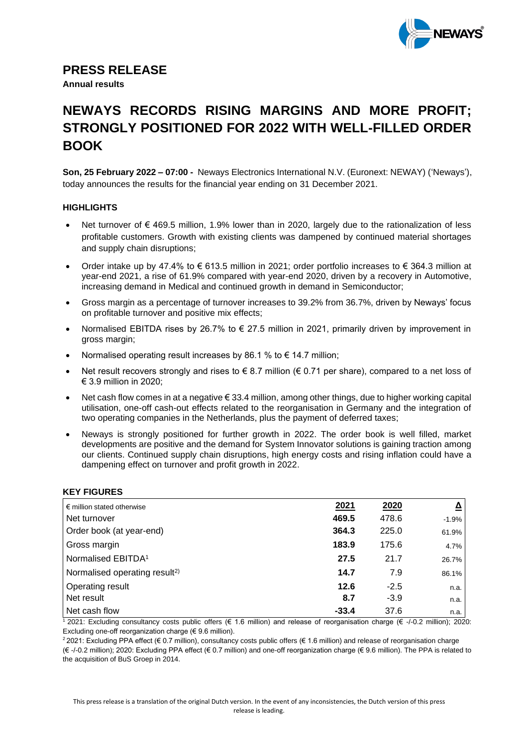

### **PRESS RELEASE**

**Annual results** 

# **NEWAYS RECORDS RISING MARGINS AND MORE PROFIT; STRONGLY POSITIONED FOR 2022 WITH WELL-FILLED ORDER BOOK**

**Son, 25 February 2022 – 07:00 -** Neways Electronics International N.V. (Euronext: NEWAY) ('Neways'), today announces the results for the financial year ending on 31 December 2021.

### **HIGHLIGHTS**

- Net turnover of € 469.5 million, 1.9% lower than in 2020, largely due to the rationalization of less profitable customers. Growth with existing clients was dampened by continued material shortages and supply chain disruptions;
- Order intake up by 47.4% to  $\epsilon$  613.5 million in 2021; order portfolio increases to  $\epsilon$  364.3 million at year-end 2021, a rise of 61.9% compared with year-end 2020, driven by a recovery in Automotive, increasing demand in Medical and continued growth in demand in Semiconductor;
- Gross margin as a percentage of turnover increases to 39.2% from 36.7%, driven by Neways' focus on profitable turnover and positive mix effects;
- Normalised EBITDA rises by 26.7% to  $\epsilon$  27.5 million in 2021, primarily driven by improvement in gross margin;
- Normalised operating result increases by 86.1 % to  $\epsilon$  14.7 million:
- Net result recovers strongly and rises to  $\epsilon$  8.7 million ( $\epsilon$  0.71 per share), compared to a net loss of € 3.9 million in 2020;
- Net cash flow comes in at a negative € 33.4 million, among other things, due to higher working capital utilisation, one-off cash-out effects related to the reorganisation in Germany and the integration of two operating companies in the Netherlands, plus the payment of deferred taxes;
- Neways is strongly positioned for further growth in 2022. The order book is well filled, market developments are positive and the demand for System Innovator solutions is gaining traction among our clients. Continued supply chain disruptions, high energy costs and rising inflation could have a dampening effect on turnover and profit growth in 2022.

### **KEY FIGURES**

| $\epsilon$ million stated otherwise       | 2021    | 2020   | ≙       |
|-------------------------------------------|---------|--------|---------|
| Net turnover                              | 469.5   | 478.6  | $-1.9%$ |
| Order book (at year-end)                  | 364.3   | 225.0  | 61.9%   |
| Gross margin                              | 183.9   | 175.6  | 4.7%    |
| Normalised EBITDA <sup>1</sup>            | 27.5    | 21.7   | 26.7%   |
| Normalised operating result <sup>2)</sup> | 14.7    | 7.9    | 86.1%   |
| <b>Operating result</b>                   | 12.6    | $-2.5$ | n.a.    |
| Net result                                | 8.7     | $-3.9$ | n.a.    |
| Net cash flow                             | $-33.4$ | 37.6   | n.a.    |

 $\frac{1}{2}$  2021: Excluding consultancy costs public offers (€ 1.6 million) and release of reorganisation charge (€ -/-0.2 million); 2020: Excluding one-off reorganization charge (€ 9.6 million).

<sup>2</sup> 2021: Excluding PPA effect (€ 0.7 million), consultancy costs public offers (€ 1.6 million) and release of reorganisation charge (€ -/-0.2 million); 2020: Excluding PPA effect (€ 0.7 million) and one-off reorganization charge (€ 9.6 million). The PPA is related to the acquisition of BuS Groep in 2014.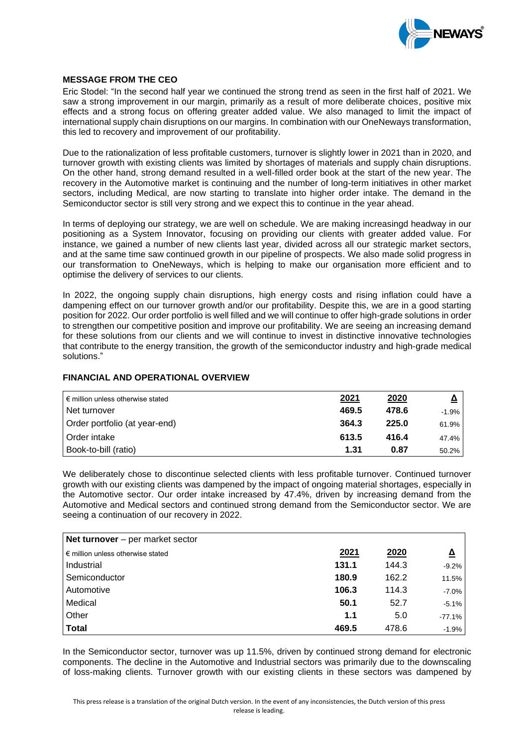

#### **MESSAGE FROM THE CEO**

Eric Stodel: "In the second half year we continued the strong trend as seen in the first half of 2021. We saw a strong improvement in our margin, primarily as a result of more deliberate choices, positive mix effects and a strong focus on offering greater added value. We also managed to limit the impact of international supply chain disruptions on our margins. In combination with our OneNeways transformation, this led to recovery and improvement of our profitability.

Due to the rationalization of less profitable customers, turnover is slightly lower in 2021 than in 2020, and turnover growth with existing clients was limited by shortages of materials and supply chain disruptions. On the other hand, strong demand resulted in a well-filled order book at the start of the new year. The recovery in the Automotive market is continuing and the number of long-term initiatives in other market sectors, including Medical, are now starting to translate into higher order intake. The demand in the Semiconductor sector is still very strong and we expect this to continue in the year ahead.

In terms of deploying our strategy, we are well on schedule. We are making increasingd headway in our positioning as a System Innovator, focusing on providing our clients with greater added value. For instance, we gained a number of new clients last year, divided across all our strategic market sectors, and at the same time saw continued growth in our pipeline of prospects. We also made solid progress in our transformation to OneNeways, which is helping to make our organisation more efficient and to optimise the delivery of services to our clients.

In 2022, the ongoing supply chain disruptions, high energy costs and rising inflation could have a dampening effect on our turnover growth and/or our profitability. Despite this, we are in a good starting position for 2022. Our order portfolio is well filled and we will continue to offer high-grade solutions in order to strengthen our competitive position and improve our profitability. We are seeing an increasing demand for these solutions from our clients and we will continue to invest in distinctive innovative technologies that contribute to the energy transition, the growth of the semiconductor industry and high-grade medical solutions."

### **FINANCIAL AND OPERATIONAL OVERVIEW**

| $\epsilon$ million unless otherwise stated | 2021  | 2020  | $\Delta$ |
|--------------------------------------------|-------|-------|----------|
| Net turnover                               | 469.5 | 478.6 | $-1.9%$  |
| Order portfolio (at year-end)              | 364.3 | 225.0 | 61.9%    |
| Order intake                               | 613.5 | 416.4 | 47.4%    |
| Book-to-bill (ratio)                       | 1.31  | 0.87  | 50.2%    |

We deliberately chose to discontinue selected clients with less profitable turnover. Continued turnover growth with our existing clients was dampened by the impact of ongoing material shortages, especially in the Automotive sector. Our order intake increased by 47.4%, driven by increasing demand from the Automotive and Medical sectors and continued strong demand from the Semiconductor sector. We are seeing a continuation of our recovery in 2022.

| Net turnover – per market sector           |       |       |          |
|--------------------------------------------|-------|-------|----------|
| $\epsilon$ million unless otherwise stated | 2021  | 2020  | ≙        |
| Industrial                                 | 131.1 | 144.3 | $-9.2%$  |
| Semiconductor                              | 180.9 | 162.2 | 11.5%    |
| Automotive                                 | 106.3 | 114.3 | $-7.0%$  |
| Medical                                    | 50.1  | 52.7  | $-5.1%$  |
| Other                                      | 1.1   | 5.0   | $-77.1%$ |
| Total                                      | 469.5 | 478.6 | $-1.9%$  |

In the Semiconductor sector, turnover was up 11.5%, driven by continued strong demand for electronic components. The decline in the Automotive and Industrial sectors was primarily due to the downscaling of loss-making clients. Turnover growth with our existing clients in these sectors was dampened by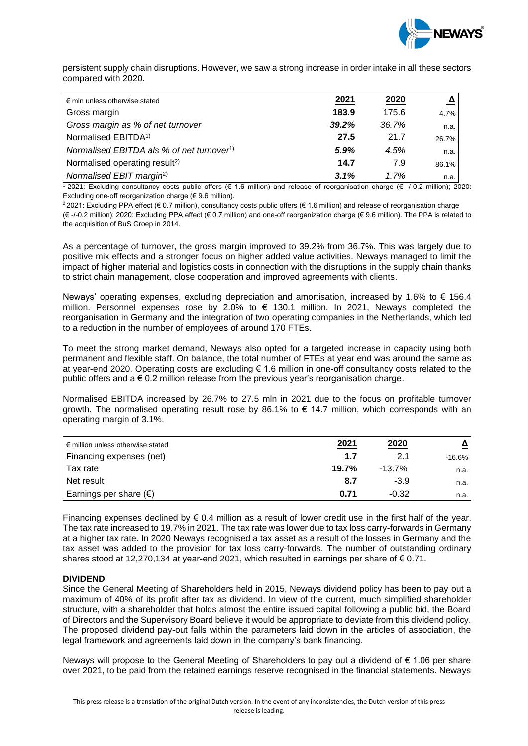

persistent supply chain disruptions. However, we saw a strong increase in order intake in all these sectors compared with 2020.

| 2021  | <u>2020</u> | $\Delta$ |
|-------|-------------|----------|
| 183.9 | 175.6       | 4.7%     |
| 39.2% | 36.7%       | n.a.     |
| 27.5  | 21.7        | 26.7%    |
| 5.9%  | 4.5%        | n.a.     |
| 14.7  | 7.9         | 86.1%    |
| 3.1%  | 1.7%        | n.a.     |
|       |             |          |

 $\frac{1}{2}$  2021: Excluding consultancy costs public offers (€ 1.6 million) and release of reorganisation charge (€ -/-0.2 million); 2020: Excluding one-off reorganization charge ( $\epsilon$  9.6 million).

<sup>2</sup> 2021: Excluding PPA effect (€ 0.7 million), consultancy costs public offers (€ 1.6 million) and release of reorganisation charge (€ -/-0.2 million); 2020: Excluding PPA effect (€ 0.7 million) and one-off reorganization charge (€ 9.6 million). The PPA is related to the acquisition of BuS Groep in 2014.

As a percentage of turnover, the gross margin improved to 39.2% from 36.7%. This was largely due to positive mix effects and a stronger focus on higher added value activities. Neways managed to limit the impact of higher material and logistics costs in connection with the disruptions in the supply chain thanks to strict chain management, close cooperation and improved agreements with clients.

Neways' operating expenses, excluding depreciation and amortisation, increased by 1.6% to  $\epsilon$  156.4 million. Personnel expenses rose by 2.0% to € 130.1 million. In 2021, Neways completed the reorganisation in Germany and the integration of two operating companies in the Netherlands, which led to a reduction in the number of employees of around 170 FTEs.

To meet the strong market demand, Neways also opted for a targeted increase in capacity using both permanent and flexible staff. On balance, the total number of FTEs at year end was around the same as at year-end 2020. Operating costs are excluding € 1.6 million in one-off consultancy costs related to the public offers and  $a \in 0.2$  million release from the previous year's reorganisation charge.

Normalised EBITDA increased by 26.7% to 27.5 mln in 2021 due to the focus on profitable turnover growth. The normalised operating result rose by 86.1% to  $\epsilon$  14.7 million, which corresponds with an operating margin of 3.1%.

| $\epsilon$ million unless otherwise stated | 2021  | 2020      |           |
|--------------------------------------------|-------|-----------|-----------|
| Financing expenses (net)                   | 1.7   | 2.1       | $-16.6\%$ |
| Tax rate                                   | 19.7% | $-13.7\%$ | n.a.      |
| Net result                                 | 8.7   | $-3.9$    | n.a.      |
| Earnings per share $(\epsilon)$            | 0.71  | $-0.32$   | n.a.      |

Financing expenses declined by  $\epsilon$  0.4 million as a result of lower credit use in the first half of the year. The tax rate increased to 19.7% in 2021. The tax rate was lower due to tax loss carry-forwards in Germany at a higher tax rate. In 2020 Neways recognised a tax asset as a result of the losses in Germany and the tax asset was added to the provision for tax loss carry-forwards. The number of outstanding ordinary shares stood at 12,270,134 at year-end 2021, which resulted in earnings per share of  $\epsilon$  0.71.

### **DIVIDEND**

Since the General Meeting of Shareholders held in 2015, Neways dividend policy has been to pay out a maximum of 40% of its profit after tax as dividend. In view of the current, much simplified shareholder structure, with a shareholder that holds almost the entire issued capital following a public bid, the Board of Directors and the Supervisory Board believe it would be appropriate to deviate from this dividend policy. The proposed dividend pay-out falls within the parameters laid down in the articles of association, the legal framework and agreements laid down in the company's bank financing.

Neways will propose to the General Meeting of Shareholders to pay out a dividend of € 1.06 per share over 2021, to be paid from the retained earnings reserve recognised in the financial statements. Neways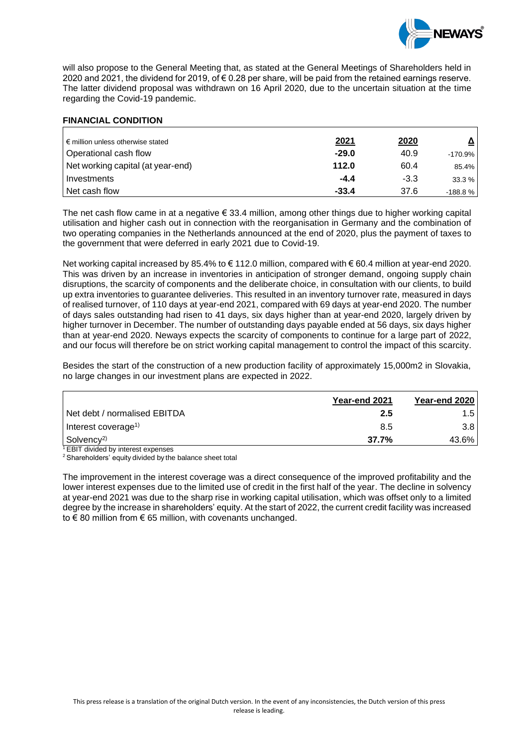

will also propose to the General Meeting that, as stated at the General Meetings of Shareholders held in 2020 and 2021, the dividend for 2019, of € 0.28 per share, will be paid from the retained earnings reserve. The latter dividend proposal was withdrawn on 16 April 2020, due to the uncertain situation at the time regarding the Covid-19 pandemic.

#### **FINANCIAL CONDITION**

| l € million unless otherwise stated | <u>2021</u> | <u>2020</u> |            |
|-------------------------------------|-------------|-------------|------------|
| Operational cash flow               | $-29.0$     | 40.9        | $-170.9\%$ |
| Net working capital (at year-end)   | 112.0       | 60.4        | 85.4%      |
| I Investments                       | $-4.4$      | $-3.3$      | 33.3%      |
| Net cash flow                       | $-33.4$     | 37.6        | $-188.8%$  |

The net cash flow came in at a negative  $\epsilon$  33.4 million, among other things due to higher working capital utilisation and higher cash out in connection with the reorganisation in Germany and the combination of two operating companies in the Netherlands announced at the end of 2020, plus the payment of taxes to the government that were deferred in early 2021 due to Covid-19.

Net working capital increased by 85.4% to € 112.0 million, compared with € 60.4 million at year-end 2020. This was driven by an increase in inventories in anticipation of stronger demand, ongoing supply chain disruptions, the scarcity of components and the deliberate choice, in consultation with our clients, to build up extra inventories to guarantee deliveries. This resulted in an inventory turnover rate, measured in days of realised turnover, of 110 days at year-end 2021, compared with 69 days at year-end 2020. The number of days sales outstanding had risen to 41 days, six days higher than at year-end 2020, largely driven by higher turnover in December. The number of outstanding days payable ended at 56 days, six days higher than at year-end 2020. Neways expects the scarcity of components to continue for a large part of 2022, and our focus will therefore be on strict working capital management to control the impact of this scarcity.

Besides the start of the construction of a new production facility of approximately 15,000m2 in Slovakia, no large changes in our investment plans are expected in 2022.

|                                 | Year-end 2021 | Year-end 2020    |
|---------------------------------|---------------|------------------|
| Net debt / normalised EBITDA    | 2.5           | 1.5              |
| Interest coverage <sup>1)</sup> | 8.5           | 3.8 <sub>1</sub> |
| Solvency <sup>2)</sup><br>_____ | 37.7%         | 43.6%            |

 $1$  EBIT divided by interest expenses

<sup>2</sup> Shareholders' equity divided by the balance sheet total

The improvement in the interest coverage was a direct consequence of the improved profitability and the lower interest expenses due to the limited use of credit in the first half of the year. The decline in solvency at year-end 2021 was due to the sharp rise in working capital utilisation, which was offset only to a limited degree by the increase in shareholders' equity. At the start of 2022, the current credit facility was increased to € 80 million from € 65 million, with covenants unchanged.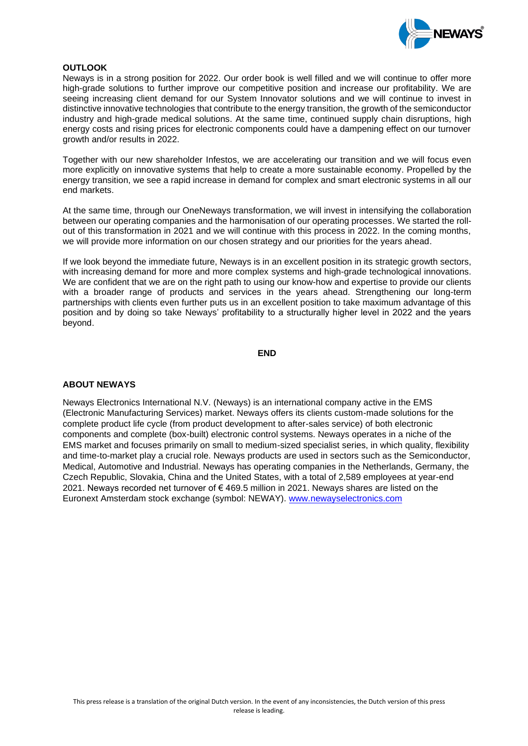

#### **OUTLOOK**

Neways is in a strong position for 2022. Our order book is well filled and we will continue to offer more high-grade solutions to further improve our competitive position and increase our profitability. We are seeing increasing client demand for our System Innovator solutions and we will continue to invest in distinctive innovative technologies that contribute to the energy transition, the growth of the semiconductor industry and high-grade medical solutions. At the same time, continued supply chain disruptions, high energy costs and rising prices for electronic components could have a dampening effect on our turnover growth and/or results in 2022.

Together with our new shareholder Infestos, we are accelerating our transition and we will focus even more explicitly on innovative systems that help to create a more sustainable economy. Propelled by the energy transition, we see a rapid increase in demand for complex and smart electronic systems in all our end markets.

At the same time, through our OneNeways transformation, we will invest in intensifying the collaboration between our operating companies and the harmonisation of our operating processes. We started the rollout of this transformation in 2021 and we will continue with this process in 2022. In the coming months, we will provide more information on our chosen strategy and our priorities for the years ahead.

If we look beyond the immediate future, Neways is in an excellent position in its strategic growth sectors, with increasing demand for more and more complex systems and high-grade technological innovations. We are confident that we are on the right path to using our know-how and expertise to provide our clients with a broader range of products and services in the years ahead. Strengthening our long-term partnerships with clients even further puts us in an excellent position to take maximum advantage of this position and by doing so take Neways' profitability to a structurally higher level in 2022 and the years beyond.

#### **END**

#### **ABOUT NEWAYS**

Neways Electronics International N.V. (Neways) is an international company active in the EMS (Electronic Manufacturing Services) market. Neways offers its clients custom-made solutions for the complete product life cycle (from product development to after-sales service) of both electronic components and complete (box-built) electronic control systems. Neways operates in a niche of the EMS market and focuses primarily on small to medium-sized specialist series, in which quality, flexibility and time-to-market play a crucial role. Neways products are used in sectors such as the Semiconductor, Medical, Automotive and Industrial. Neways has operating companies in the Netherlands, Germany, the Czech Republic, Slovakia, China and the United States, with a total of 2,589 employees at year-end 2021. Neways recorded net turnover of € 469.5 million in 2021. Neways shares are listed on the Euronext Amsterdam stock exchange (symbol: NEWAY). [www.newayselectronics.com](http://www.newayselectronics.com/)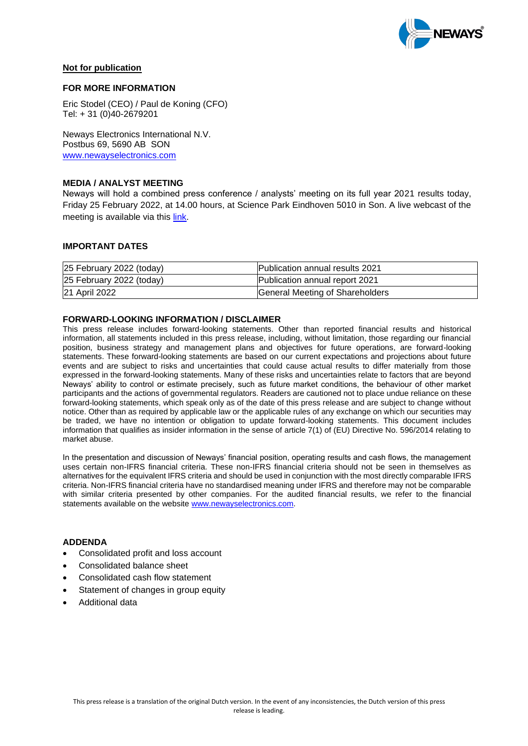

### **Not for publication**

#### **FOR MORE INFORMATION**

Eric Stodel (CEO) / Paul de Koning (CFO) Tel: + 31 (0)40-2679201

Neways Electronics International N.V. Postbus 69, 5690 AB SON [www.newayselectronics.com](http://www.newayselectronics.com/)

#### **MEDIA / ANALYST MEETING**

Neways will hold a combined press conference / analysts' meeting on its full year 2021 results today, Friday 25 February 2022, at 14.00 hours, at Science Park Eindhoven 5010 in Son. A live webcast of the meeting is available via this [link.](https://webinar.heuvelmanlive.stream/newaysresults2021)

### **IMPORTANT DATES**

| 25 February 2022 (today) | Publication annual results 2021 |
|--------------------------|---------------------------------|
| 25 February 2022 (today) | Publication annual report 2021  |
| 21 April 2022            | General Meeting of Shareholders |

#### **FORWARD-LOOKING INFORMATION / DISCLAIMER**

This press release includes forward-looking statements. Other than reported financial results and historical information, all statements included in this press release, including, without limitation, those regarding our financial position, business strategy and management plans and objectives for future operations, are forward-looking statements. These forward-looking statements are based on our current expectations and projections about future events and are subject to risks and uncertainties that could cause actual results to differ materially from those expressed in the forward-looking statements. Many of these risks and uncertainties relate to factors that are beyond Neways' ability to control or estimate precisely, such as future market conditions, the behaviour of other market participants and the actions of governmental regulators. Readers are cautioned not to place undue reliance on these forward-looking statements, which speak only as of the date of this press release and are subject to change without notice. Other than as required by applicable law or the applicable rules of any exchange on which our securities may be traded, we have no intention or obligation to update forward-looking statements. This document includes information that qualifies as insider information in the sense of article 7(1) of (EU) Directive No. 596/2014 relating to market abuse.

In the presentation and discussion of Neways' financial position, operating results and cash flows, the management uses certain non-IFRS financial criteria. These non-IFRS financial criteria should not be seen in themselves as alternatives for the equivalent IFRS criteria and should be used in conjunction with the most directly comparable IFRS criteria. Non-IFRS financial criteria have no standardised meaning under IFRS and therefore may not be comparable with similar criteria presented by other companies. For the audited financial results, we refer to the financial statements available on the website [www.newayselectronics.com.](http://www.newayselectronics.com/)

#### **ADDENDA**

- Consolidated profit and loss account
- Consolidated balance sheet
- Consolidated cash flow statement
- Statement of changes in group equity
- Additional data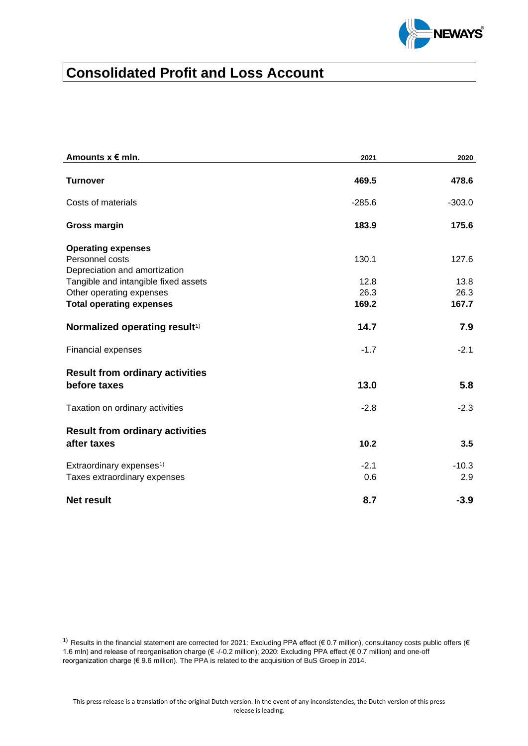

# **Consolidated Profit and Loss Account**

| Amounts $x \in m$ In.                                                         | 2021          | 2020           |
|-------------------------------------------------------------------------------|---------------|----------------|
| <b>Turnover</b>                                                               | 469.5         | 478.6          |
| Costs of materials                                                            | $-285.6$      | $-303.0$       |
| <b>Gross margin</b>                                                           | 183.9         | 175.6          |
| <b>Operating expenses</b><br>Personnel costs<br>Depreciation and amortization | 130.1         | 127.6          |
| Tangible and intangible fixed assets                                          | 12.8          | 13.8           |
| Other operating expenses                                                      | 26.3          | 26.3           |
| <b>Total operating expenses</b>                                               | 169.2         | 167.7          |
| Normalized operating result <sup>1)</sup>                                     | 14.7          | 7.9            |
| Financial expenses                                                            | $-1.7$        | $-2.1$         |
| <b>Result from ordinary activities</b><br>before taxes                        | 13.0          | 5.8            |
| Taxation on ordinary activities                                               | $-2.8$        | $-2.3$         |
| <b>Result from ordinary activities</b><br>after taxes                         | 10.2          | 3.5            |
| Extraordinary expenses <sup>1)</sup><br>Taxes extraordinary expenses          | $-2.1$<br>0.6 | $-10.3$<br>2.9 |
| <b>Net result</b>                                                             | 8.7           | $-3.9$         |

1) Results in the financial statement are corrected for 2021: Excluding PPA effect ( $\in$  0.7 million), consultancy costs public offers ( $\in$ 1.6 mln) and release of reorganisation charge (€ -/-0.2 million); 2020: Excluding PPA effect (€ 0.7 million) and one-off reorganization charge (€ 9.6 million). The PPA is related to the acquisition of BuS Groep in 2014.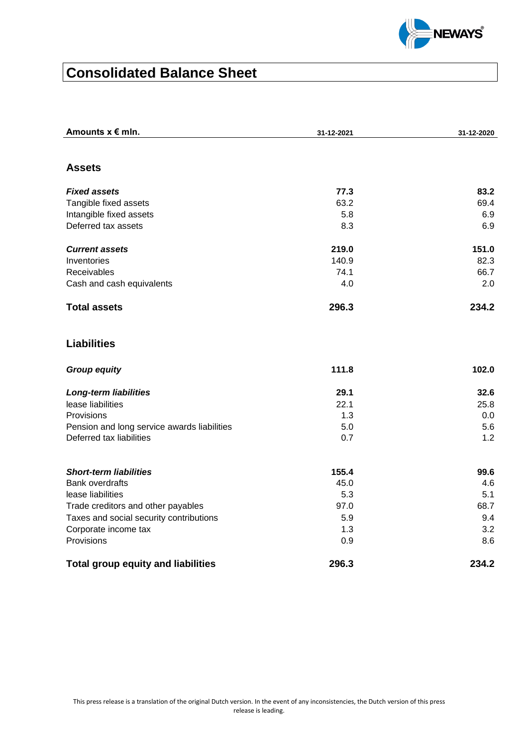

# **Consolidated Balance Sheet**

| Amounts $x \in m$ In.                                                         | 31-12-2021  | 31-12-2020 |
|-------------------------------------------------------------------------------|-------------|------------|
|                                                                               |             |            |
| <b>Assets</b>                                                                 |             |            |
| <b>Fixed assets</b>                                                           | 77.3        | 83.2       |
| Tangible fixed assets                                                         | 63.2        | 69.4       |
| Intangible fixed assets                                                       | 5.8         | 6.9        |
| Deferred tax assets                                                           | 8.3         | 6.9        |
| <b>Current assets</b>                                                         | 219.0       | 151.0      |
| Inventories                                                                   | 140.9       | 82.3       |
| Receivables                                                                   | 74.1        | 66.7       |
| Cash and cash equivalents                                                     | 4.0         | 2.0        |
| <b>Total assets</b>                                                           | 296.3       | 234.2      |
| <b>Liabilities</b>                                                            |             |            |
| <b>Group equity</b>                                                           | 111.8       | 102.0      |
| <b>Long-term liabilities</b>                                                  | 29.1        | 32.6       |
| lease liabilities                                                             | 22.1        | 25.8       |
| Provisions                                                                    | 1.3         | 0.0        |
| Pension and long service awards liabilities                                   | 5.0         | 5.6        |
| Deferred tax liabilities                                                      | 0.7         | 1.2        |
|                                                                               |             |            |
| <b>Short-term liabilities</b>                                                 | 155.4       | 99.6       |
| <b>Bank overdrafts</b>                                                        | 45.0<br>5.3 | 4.6<br>5.1 |
| lease liabilities                                                             | 97.0        | 68.7       |
| Trade creditors and other payables<br>Taxes and social security contributions | 5.9         | 9.4        |
| Corporate income tax                                                          | 1.3         | 3.2        |
| Provisions                                                                    | 0.9         | 8.6        |
| <b>Total group equity and liabilities</b>                                     | 296.3       | 234.2      |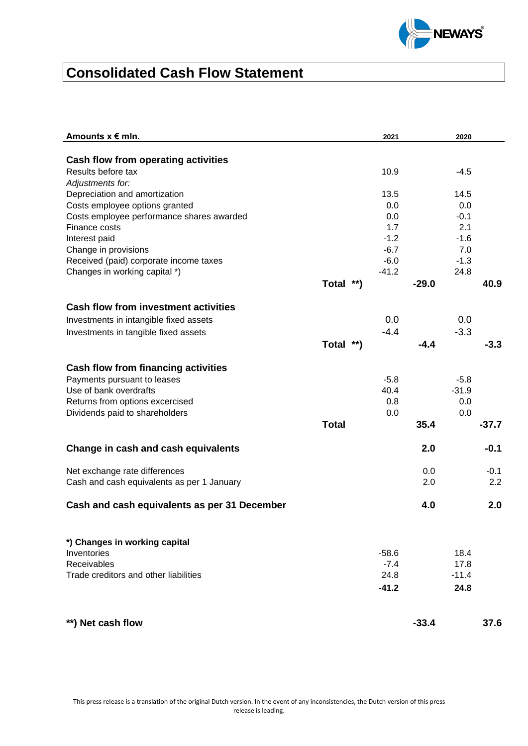

# **Consolidated Cash Flow Statement**

| Amounts $x \in m$ In.                                                       |              | 2021    |            | 2020    |               |
|-----------------------------------------------------------------------------|--------------|---------|------------|---------|---------------|
|                                                                             |              |         |            |         |               |
| Cash flow from operating activities<br>Results before tax                   |              |         |            |         |               |
| Adjustments for:                                                            |              | 10.9    |            | $-4.5$  |               |
| Depreciation and amortization                                               |              | 13.5    |            | 14.5    |               |
| Costs employee options granted                                              |              | 0.0     |            | 0.0     |               |
| Costs employee performance shares awarded                                   |              | 0.0     |            | $-0.1$  |               |
| Finance costs                                                               |              | 1.7     |            | 2.1     |               |
| Interest paid                                                               |              | $-1.2$  |            | $-1.6$  |               |
| Change in provisions                                                        |              | $-6.7$  |            | 7.0     |               |
| Received (paid) corporate income taxes                                      |              | $-6.0$  |            | $-1.3$  |               |
| Changes in working capital *)                                               |              | $-41.2$ |            | 24.8    |               |
|                                                                             | Total **)    |         | $-29.0$    |         | 40.9          |
| <b>Cash flow from investment activities</b>                                 |              |         |            |         |               |
| Investments in intangible fixed assets                                      |              | 0.0     |            | 0.0     |               |
| Investments in tangible fixed assets                                        |              | $-4.4$  |            | $-3.3$  |               |
|                                                                             | Total **)    |         | $-4.4$     |         | $-3.3$        |
|                                                                             |              |         |            |         |               |
| Cash flow from financing activities                                         |              |         |            |         |               |
| Payments pursuant to leases                                                 |              | $-5.8$  |            | $-5.8$  |               |
| Use of bank overdrafts                                                      |              | 40.4    |            | $-31.9$ |               |
| Returns from options excercised                                             |              | 0.8     |            | 0.0     |               |
| Dividends paid to shareholders                                              |              | 0.0     |            | 0.0     |               |
|                                                                             | <b>Total</b> |         | 35.4       |         | $-37.7$       |
| Change in cash and cash equivalents                                         |              |         | 2.0        |         | $-0.1$        |
|                                                                             |              |         |            |         |               |
| Net exchange rate differences<br>Cash and cash equivalents as per 1 January |              |         | 0.0<br>2.0 |         | $-0.1$<br>2.2 |
|                                                                             |              |         |            |         |               |
| Cash and cash equivalents as per 31 December                                |              |         | 4.0        |         | 2.0           |
|                                                                             |              |         |            |         |               |
| *) Changes in working capital                                               |              |         |            |         |               |
| Inventories                                                                 |              | $-58.6$ |            | 18.4    |               |
| Receivables                                                                 |              | $-7.4$  |            | 17.8    |               |
| Trade creditors and other liabilities                                       |              | 24.8    |            | $-11.4$ |               |
|                                                                             |              | $-41.2$ |            | 24.8    |               |
|                                                                             |              |         |            |         |               |
| **) Net cash flow                                                           |              |         | $-33.4$    |         | 37.6          |